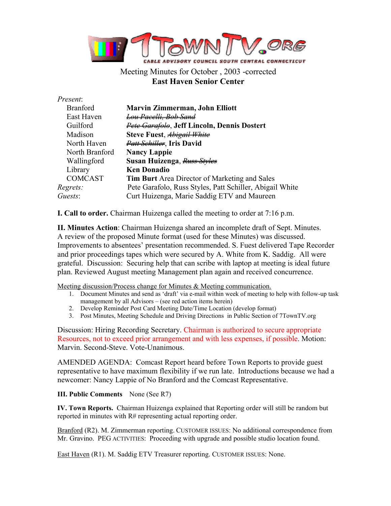

Meeting Minutes for October , 2003 -corrected **East Haven Senior Center**

## *Present*:

| <b>Branford</b> | <b>Marvin Zimmerman, John Elliott</b>                    |
|-----------------|----------------------------------------------------------|
| East Haven      | <del>Lou Pacelli. Bob Sand</del>                         |
| Guilford        | Pete Garafolo, Jeff Lincoln, Dennis Dostert              |
| Madison         | Steve Fuest, Abigail White                               |
| North Haven     | <b>Patt Schiller</b> , Iris David                        |
| North Branford  | <b>Nancy Lappie</b>                                      |
| Wallingford     | Susan Huizenga, Russ Styles                              |
| Library         | <b>Ken Donadio</b>                                       |
| <b>COMCAST</b>  | <b>Tim Burt</b> Area Director of Marketing and Sales     |
| Regrets:        | Pete Garafolo, Russ Styles, Patt Schiller, Abigail White |
| Guests:         | Curt Huizenga, Marie Saddig ETV and Maureen              |
|                 |                                                          |

**I. Call to order.** Chairman Huizenga called the meeting to order at 7:16 p.m.

**II. Minutes Action**: Chairman Huizenga shared an incomplete draft of Sept. Minutes. A review of the proposed Minute format (used for these Minutes) was discussed. Improvements to absentees' presentation recommended. S. Fuest delivered Tape Recorder and prior proceedings tapes which were secured by A. White from K. Saddig. All were grateful. Discussion: Securing help that can scribe with laptop at meeting is ideal future plan. Reviewed August meeting Management plan again and received concurrence.

Meeting discussion/Process change for Minutes & Meeting communication.

- 1. Document Minutes and send as 'draft' via e-mail within week of meeting to help with follow-up task management by all Advisors – (see red action items herein)
- 2. Develop Reminder Post Card Meeting Date/Time Location (develop format)
- 3. Post Minutes, Meeting Schedule and Driving Directions in Public Section of 7TownTV.org

Discussion: Hiring Recording Secretary. Chairman is authorized to secure appropriate Resources, not to exceed prior arrangement and with less expenses, if possible. Motion: Marvin. Second-Steve. Vote-Unanimous.

AMENDED AGENDA: Comcast Report heard before Town Reports to provide guest representative to have maximum flexibility if we run late. Introductions because we had a newcomer: Nancy Lappie of No Branford and the Comcast Representative.

## **III. Public Comments** None (See R7)

**IV. Town Reports.** Chairman Huizenga explained that Reporting order will still be random but reported in minutes with R# representing actual reporting order.

Branford (R2). M. Zimmerman reporting. CUSTOMER ISSUES: No additional correspondence from Mr. Gravino. PEG ACTIVITIES: Proceeding with upgrade and possible studio location found.

East Haven (R1). M. Saddig ETV Treasurer reporting. CUSTOMER ISSUES: None.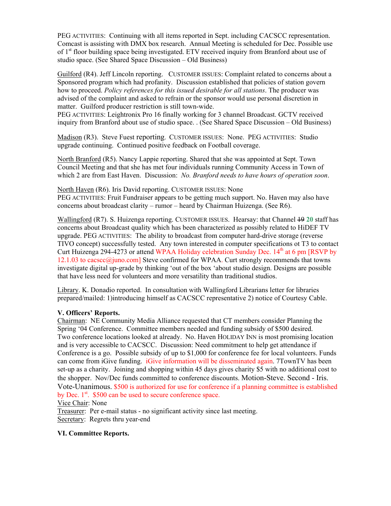PEG ACTIVITIES: Continuing with all items reported in Sept. including CACSCC representation. Comcast is assisting with DMX box research. Annual Meeting is scheduled for Dec. Possible use of  $1<sup>st</sup>$  floor building space being investigated. ETV received inquiry from Branford about use of studio space. (See Shared Space Discussion – Old Business)

Guilford (R4). Jeff Lincoln reporting. CUSTOMER ISSUES: Complaint related to concerns about a Sponsored program which had profanity. Discussion established that policies of station govern how to proceed. *Policy references for this issued desirable for all stations*. The producer was advised of the complaint and asked to refrain or the sponsor would use personal discretion in matter. Guilford producer restriction is still town-wide.

PEG ACTIVITIES: Leightronix Pro 16 finally working for 3 channel Broadcast. GCTV received inquiry from Branford about use of studio space. . (See Shared Space Discussion – Old Business)

Madison (R3). Steve Fuest reporting. CUSTOMER ISSUES: None. PEG ACTIVITIES: Studio upgrade continuing. Continued positive feedback on Football coverage.

North Branford (R5). Nancy Lappie reporting. Shared that she was appointed at Sept. Town Council Meeting and that she has met four individuals running Community Access in Town of which 2 are from East Haven. Discussion: *No. Branford needs to have hours of operation soon*.

North Haven (R6). Iris David reporting. CUSTOMER ISSUES: None PEG ACTIVITIES: Fruit Fundraiser appears to be getting much support. No. Haven may also have concerns about broadcast clarity – rumor – heard by Chairman Huizenga. (See R6).

Wallingford (R7). S. Huizenga reporting. CUSTOMER ISSUES. Hearsay: that Channel 19 **20** staff has concerns about Broadcast quality which has been characterized as possibly related to HiDEF TV upgrade. PEG ACTIVITIES: The ability to broadcast from computer hard-drive storage (reverse TIVO concept) successfully tested. Any town interested in computer specifications ot T3 to contact Curt Huizenga 294-4273 or attend WPAA Holiday celebration Sunday Dec.  $14<sup>th</sup>$  at 6 pm [RSVP by  $12.1.03$  to cacscc $@$ juno.com] Steve confirmed for WPAA. Curt strongly recommends that towns investigate digital up-grade by thinking 'out of the box 'about studio design. Designs are possible that have less need for volunteers and more versatility than traditional studios.

Library. K. Donadio reported. In consultation with Wallingford Librarians letter for libraries prepared/mailed: 1)introducing himself as CACSCC representative 2) notice of Courtesy Cable.

## **V. Officers' Reports.**

Chairman: NE Community Media Alliance requested that CT members consider Planning the Spring '04 Conference. Committee members needed and funding subsidy of \$500 desired. Two conference locations looked at already. No. Haven HOLIDAY INN is most promising location and is very accessible to CACSCC. Discussion: Need commitment to help get attendance if Conference is a go. Possible subsidy of up to \$1,000 for conference fee for local volunteers. Funds can come from iGive funding. iGive information will be disseminated again. 7TownTV has been set-up as a charity. Joining and shopping within 45 days gives charity \$5 with no additional cost to the shopper. Nov/Dec funds committed to conference discounts. Motion-Steve. Second - Iris. Vote-Unanimous. \$500 is authorized for use for conference if a planning committee is established by Dec.  $1<sup>st</sup>$ . \$500 can be used to secure conference space.

Vice Chair: None

Treasurer: Per e-mail status - no significant activity since last meeting. Secretary: Regrets thru year-end

## **VI. Committee Reports.**